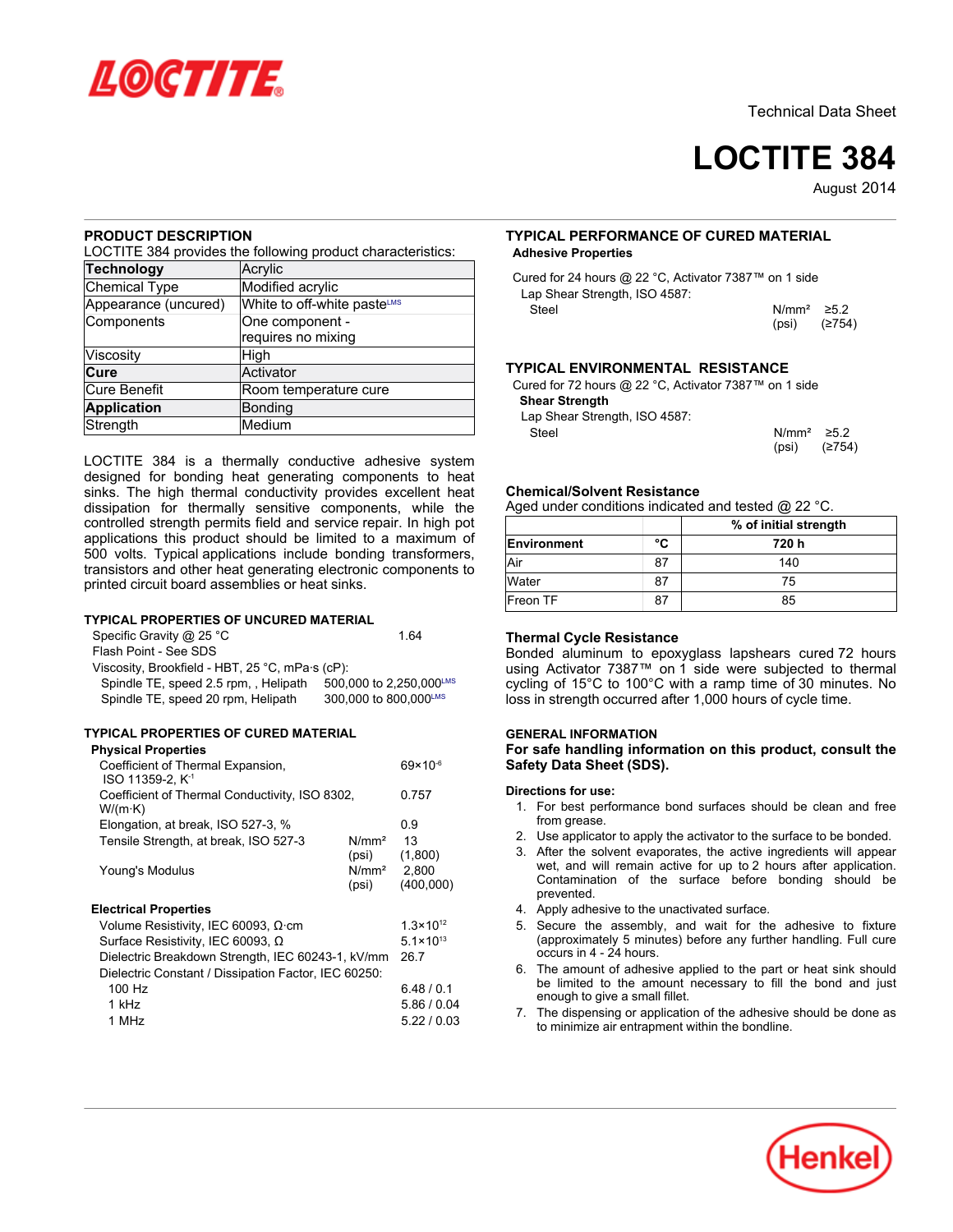

# **LOCTITE 384**

August-2014

## **PRODUCT DESCRIPTION**

LOCTITE 384 provides the following product characteristics:

| <b>Technology</b>    | Acrylic                     |  |
|----------------------|-----------------------------|--|
| Chemical Type        | Modified acrylic            |  |
| Appearance (uncured) | White to off-white pasteLMS |  |
| Components           | One component -             |  |
|                      | requires no mixing          |  |
| Viscosity            | High                        |  |
| Cure                 | Activator                   |  |
| Cure Benefit         | Room temperature cure       |  |
| <b>Application</b>   | <b>Bonding</b>              |  |
| Strength             | Medium                      |  |

LOCTITE 384 is a thermally conductive adhesive system designed for bonding heat generating components to heat sinks. The high thermal conductivity provides excellent heat dissipation for thermally sensitive components, while the controlled strength permits field and service repair. In high pot applications this product should be limited to a maximum of 500 volts. Typical applications include bonding transformers, transistors and other heat generating electronic components to printed circuit board assemblies or heat sinks.

## **TYPICAL PROPERTIES OF UNCURED MATERIAL**

| Specific Gravity $@$ 25 °C                      | 1 64                    |
|-------------------------------------------------|-------------------------|
| Flash Point - See SDS                           |                         |
| Viscosity, Brookfield - HBT, 25 °C, mPa·s (cP): |                         |
| Spindle TE, speed 2.5 rpm, Helipath             | 500,000 to 2,250,000LMS |
| Spindle TE, speed 20 rpm, Helipath              | 300,000 to 800,000LMS   |

# **TYPICAL PROPERTIES OF CURED MATERIAL**

## **Physical Properties**

| $69 \times 10^{-6}$                                |
|----------------------------------------------------|
| 0.757                                              |
|                                                    |
| 0.9                                                |
| 13                                                 |
| (1,800)<br>N/mm <sup>2</sup><br>2,800<br>(400,000) |
|                                                    |
| $1.3 \times 10^{12}$                               |
| $5.1 \times 10^{13}$                               |
| 26.7                                               |
|                                                    |
| 6.48/0.1                                           |
| 5.86 / 0.04                                        |
| 5.22/0.03                                          |
|                                                    |

# **TYPICAL PERFORMANCE OF CURED MATERIAL Adhesive Properties**

| Cured for 24 hours @ 22 °C, Activator 7387™ on 1 side |                  |        |
|-------------------------------------------------------|------------------|--------|
| Lap Shear Strength, ISO 4587:                         |                  |        |
| Steel                                                 | $N/mm^2 \ge 5.2$ |        |
|                                                       | (psi)            | (≥754) |

## **TYPICAL ENVIRONMENTAL RESISTANCE**

Cured for 72 hours @ 22 °C, Activator 7387™ on 1 side **Shear Strength**

Lap Shear Strength, ISO 4587:

Steel N/mm<sup>2</sup> ≥5.2 (psi) (≥754)

## **Chemical/Solvent Resistance**

Aged under conditions indicated and tested @ 22 °C.

|                    |    | % of initial strength |
|--------------------|----|-----------------------|
| <b>Environment</b> | °C | 720 h                 |
| Air                | 87 | 140                   |
| Water              | 87 | 75                    |
| Freon TF           |    | 85                    |

# **Thermal Cycle Resistance**

Bonded aluminum to epoxyglass lapshears cured 72 hours using Activator 7387™ on 1 side were subjected to thermal cycling of 15°C to 100°C with a ramp time of 30 minutes. No loss in strength occurred after 1,000 hours of cycle time.

# **GENERAL INFORMATION**

**For safe handling information on this product, consult the Safety Data Sheet (SDS).**

### **Directions for use:**

- 1. For best performance bond surfaces should be clean and free from grease.
- 2. Use applicator to apply the activator to the surface to be bonded.
- 3. After the solvent evaporates, the active ingredients will appear wet, and will remain active for up to 2 hours after application. Contamination of the surface before bonding should be prevented.
- 4. Apply adhesive to the unactivated surface.
- 5. Secure the assembly, and wait for the adhesive to fixture (approximately 5 minutes) before any further handling. Full cure occurs in 4 - 24 hours.
- 6. The amount of adhesive applied to the part or heat sink should be limited to the amount necessary to fill the bond and just enough to give a small fillet.
- 7. The dispensing or application of the adhesive should be done as to minimize air entrapment within the bondline.